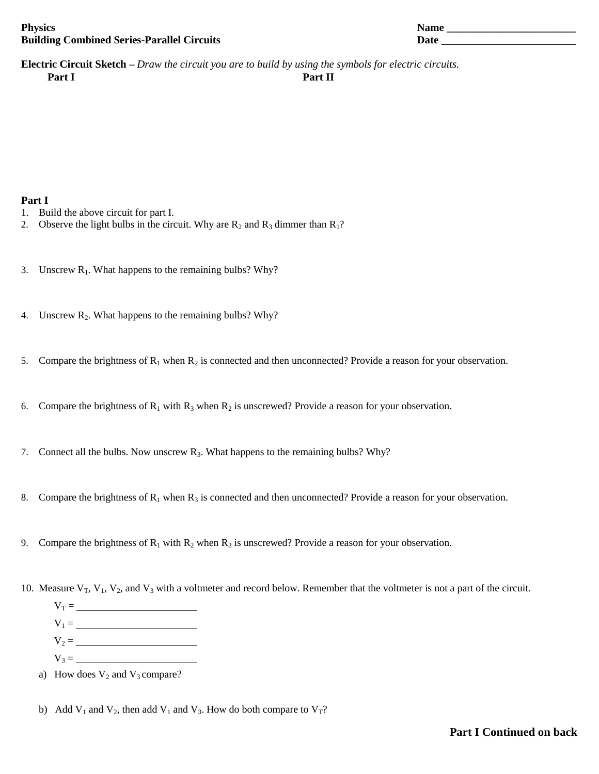| <b>Physics</b>                                    | <b>Name</b> |
|---------------------------------------------------|-------------|
| <b>Building Combined Series-Parallel Circuits</b> |             |

| Name |  |  |  |
|------|--|--|--|
| Date |  |  |  |
|      |  |  |  |

**Electric Circuit Sketch –** *Draw the circuit you are to build by using the symbols for electric circuits.* **Part I Part II**

## **Part I**

- 1. Build the above circuit for part I.
- 2. Observe the light bulbs in the circuit. Why are  $R_2$  and  $R_3$  dimmer than  $R_1$ ?
- 3. Unscrew  $R_1$ . What happens to the remaining bulbs? Why?
- 4. Unscrew R<sub>2</sub>. What happens to the remaining bulbs? Why?
- 5. Compare the brightness of  $R_1$  when  $R_2$  is connected and then unconnected? Provide a reason for your observation.
- 6. Compare the brightness of  $R_1$  with  $R_3$  when  $R_2$  is unscrewed? Provide a reason for your observation.
- 7. Connect all the bulbs. Now unscrew  $R_3$ . What happens to the remaining bulbs? Why?
- 8. Compare the brightness of  $R_1$  when  $R_3$  is connected and then unconnected? Provide a reason for your observation.
- 9. Compare the brightness of  $R_1$  with  $R_2$  when  $R_3$  is unscrewed? Provide a reason for your observation.
- 10. Measure  $V_T$ ,  $V_1$ ,  $V_2$ , and  $V_3$  with a voltmeter and record below. Remember that the voltmeter is not a part of the circuit.
	- $V_T =$
	- $V_1 = \_$
	- $V_2 = \_$
	- $V_3 =$
	- a) How does  $V_2$  and  $V_3$  compare?
	- b) Add  $V_1$  and  $V_2$ , then add  $V_1$  and  $V_3$ . How do both compare to  $V_T$ ?